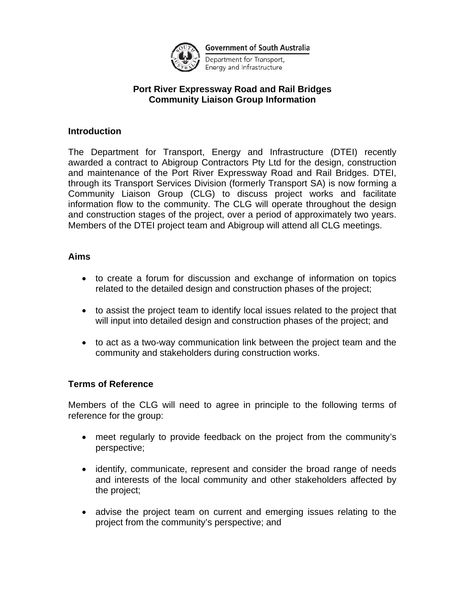

Department for Transport, Energy and Infrastructure

## **Port River Expressway Road and Rail Bridges Community Liaison Group Information**

## **Introduction**

The Department for Transport, Energy and Infrastructure (DTEI) recently awarded a contract to Abigroup Contractors Pty Ltd for the design, construction and maintenance of the Port River Expressway Road and Rail Bridges. DTEI, through its Transport Services Division (formerly Transport SA) is now forming a Community Liaison Group (CLG) to discuss project works and facilitate information flow to the community. The CLG will operate throughout the design and construction stages of the project, over a period of approximately two years. Members of the DTEI project team and Abigroup will attend all CLG meetings.

#### **Aims**

- to create a forum for discussion and exchange of information on topics related to the detailed design and construction phases of the project;
- to assist the project team to identify local issues related to the project that will input into detailed design and construction phases of the project; and
- to act as a two-way communication link between the project team and the community and stakeholders during construction works.

## **Terms of Reference**

Members of the CLG will need to agree in principle to the following terms of reference for the group:

- meet regularly to provide feedback on the project from the community's perspective;
- identify, communicate, represent and consider the broad range of needs and interests of the local community and other stakeholders affected by the project;
- advise the project team on current and emerging issues relating to the project from the community's perspective; and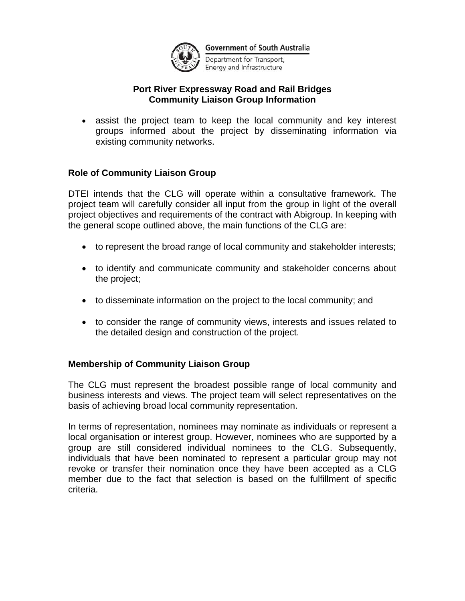

Department for Transport, Energy and Infrastructure

## **Port River Expressway Road and Rail Bridges Community Liaison Group Information**

• assist the project team to keep the local community and key interest groups informed about the project by disseminating information via existing community networks.

## **Role of Community Liaison Group**

DTEI intends that the CLG will operate within a consultative framework. The project team will carefully consider all input from the group in light of the overall project objectives and requirements of the contract with Abigroup. In keeping with the general scope outlined above, the main functions of the CLG are:

- to represent the broad range of local community and stakeholder interests;
- to identify and communicate community and stakeholder concerns about the project;
- to disseminate information on the project to the local community; and
- to consider the range of community views, interests and issues related to the detailed design and construction of the project.

## **Membership of Community Liaison Group**

The CLG must represent the broadest possible range of local community and business interests and views. The project team will select representatives on the basis of achieving broad local community representation.

In terms of representation, nominees may nominate as individuals or represent a local organisation or interest group. However, nominees who are supported by a group are still considered individual nominees to the CLG. Subsequently, individuals that have been nominated to represent a particular group may not revoke or transfer their nomination once they have been accepted as a CLG member due to the fact that selection is based on the fulfillment of specific criteria.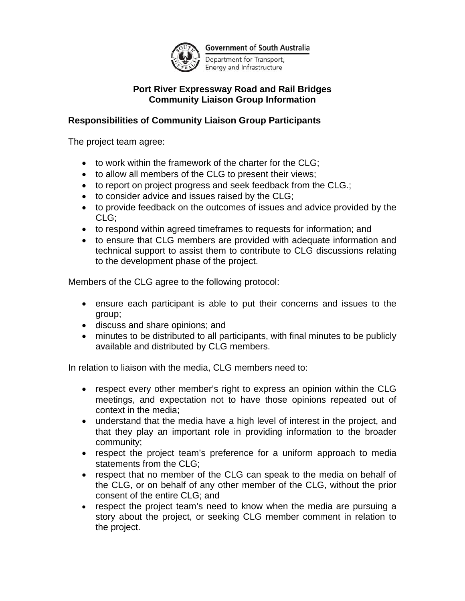

Department for Transport, Energy and Infrastructure

## **Port River Expressway Road and Rail Bridges Community Liaison Group Information**

# **Responsibilities of Community Liaison Group Participants**

The project team agree:

- to work within the framework of the charter for the CLG;
- to allow all members of the CLG to present their views;
- to report on project progress and seek feedback from the CLG.;
- to consider advice and issues raised by the CLG;
- to provide feedback on the outcomes of issues and advice provided by the CLG;
- to respond within agreed timeframes to requests for information; and
- to ensure that CLG members are provided with adequate information and technical support to assist them to contribute to CLG discussions relating to the development phase of the project.

Members of the CLG agree to the following protocol:

- ensure each participant is able to put their concerns and issues to the group;
- discuss and share opinions; and
- minutes to be distributed to all participants, with final minutes to be publicly available and distributed by CLG members.

In relation to liaison with the media, CLG members need to:

- respect every other member's right to express an opinion within the CLG meetings, and expectation not to have those opinions repeated out of context in the media;
- understand that the media have a high level of interest in the project, and that they play an important role in providing information to the broader community;
- respect the project team's preference for a uniform approach to media statements from the CLG;
- respect that no member of the CLG can speak to the media on behalf of the CLG, or on behalf of any other member of the CLG, without the prior consent of the entire CLG; and
- respect the project team's need to know when the media are pursuing a story about the project, or seeking CLG member comment in relation to the project.